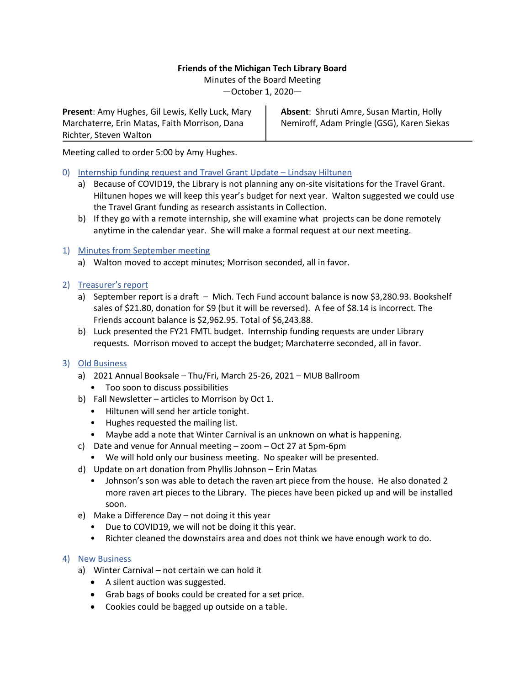## **Friends of the Michigan Tech Library Board**

Minutes of the Board Meeting

—October 1, 2020—

**Present**: Amy Hughes, Gil Lewis, Kelly Luck, Mary Marchaterre, Erin Matas, Faith Morrison, Dana Richter, Steven Walton

**Absent**: Shruti Amre, Susan Martin, Holly Nemiroff, Adam Pringle (GSG), Karen Siekas

Meeting called to order 5:00 by Amy Hughes.

- 0) Internship funding request and Travel Grant Update Lindsay Hiltunen
	- a) Because of COVID19, the Library is not planning any on-site visitations for the Travel Grant. Hiltunen hopes we will keep this year's budget for next year. Walton suggested we could use the Travel Grant funding as research assistants in Collection.
	- b) If they go with a remote internship, she will examine what projects can be done remotely anytime in the calendar year. She will make a formal request at our next meeting.

## 1) Minutes from September meeting

- a) Walton moved to accept minutes; Morrison seconded, all in favor.
- 2) Treasurer's report
	- a) September report is a draft Mich. Tech Fund account balance is now \$3,280.93. Bookshelf sales of \$21.80, donation for \$9 (but it will be reversed). A fee of \$8.14 is incorrect. The Friends account balance is \$2,962.95. Total of \$6,243.88.
	- b) Luck presented the FY21 FMTL budget. Internship funding requests are under Library requests. Morrison moved to accept the budget; Marchaterre seconded, all in favor.
- 3) Old Business
	- a) 2021 Annual Booksale Thu/Fri, March 25-26, 2021 MUB Ballroom
		- Too soon to discuss possibilities
	- b) Fall Newsletter articles to Morrison by Oct 1.
		- Hiltunen will send her article tonight.
		- Hughes requested the mailing list.
		- Maybe add a note that Winter Carnival is an unknown on what is happening.
	- c) Date and venue for Annual meeting zoom Oct 27 at 5pm-6pm
		- We will hold only our business meeting. No speaker will be presented.
	- d) Update on art donation from Phyllis Johnson Erin Matas
		- Johnson's son was able to detach the raven art piece from the house. He also donated 2 more raven art pieces to the Library. The pieces have been picked up and will be installed soon.
	- e) Make a Difference Day not doing it this year
		- Due to COVID19, we will not be doing it this year.
		- Richter cleaned the downstairs area and does not think we have enough work to do.

## 4) New Business

- a) Winter Carnival not certain we can hold it
	- A silent auction was suggested.
	- Grab bags of books could be created for a set price.
	- Cookies could be bagged up outside on a table.